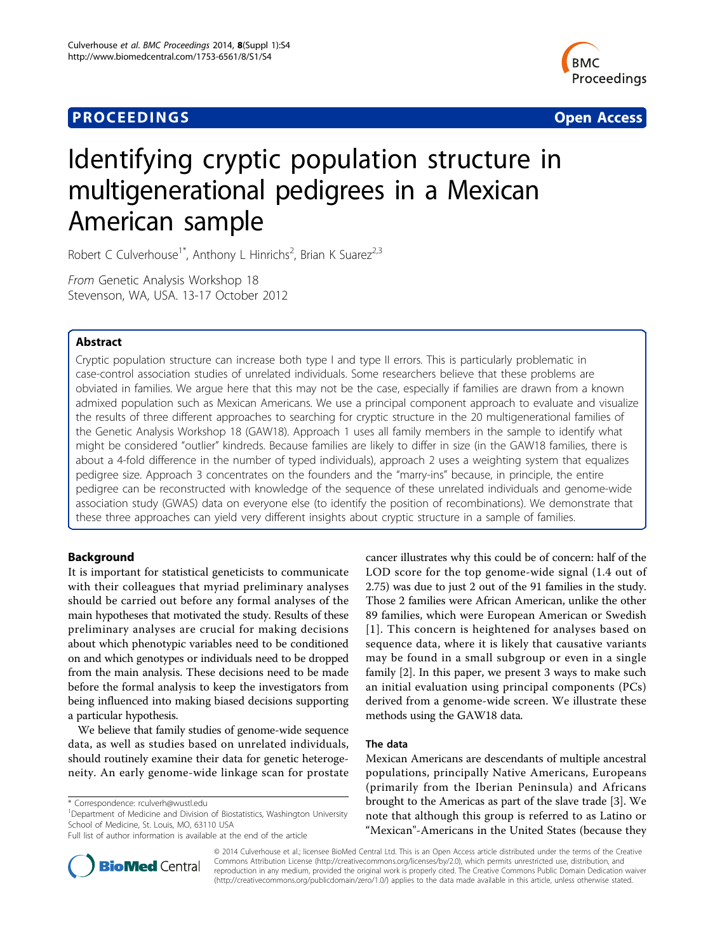## **PROCEEDINGS SECURE 2018 12:00 SECURE 2018 12:00 SECURE 2019 12:00 SECURE 2019 12:00 SECURE 2019 12:00 SECURE 30 SECURE 2019 12:00 SECURE 2019 12:00 SECURE 2019 12:00 SECURE 2019 12:00 SECURE 2019 12:00 SECURE 2019 12:00**



# Identifying cryptic population structure in multigenerational pedigrees in a Mexican American sample

Robert C Culverhouse<sup>1\*</sup>, Anthony L Hinrichs<sup>2</sup>, Brian K Suarez<sup>2,3</sup>

From Genetic Analysis Workshop 18 Stevenson, WA, USA. 13-17 October 2012

## Abstract

Cryptic population structure can increase both type I and type II errors. This is particularly problematic in case-control association studies of unrelated individuals. Some researchers believe that these problems are obviated in families. We argue here that this may not be the case, especially if families are drawn from a known admixed population such as Mexican Americans. We use a principal component approach to evaluate and visualize the results of three different approaches to searching for cryptic structure in the 20 multigenerational families of the Genetic Analysis Workshop 18 (GAW18). Approach 1 uses all family members in the sample to identify what might be considered "outlier" kindreds. Because families are likely to differ in size (in the GAW18 families, there is about a 4-fold difference in the number of typed individuals), approach 2 uses a weighting system that equalizes pedigree size. Approach 3 concentrates on the founders and the "marry-ins" because, in principle, the entire pedigree can be reconstructed with knowledge of the sequence of these unrelated individuals and genome-wide association study (GWAS) data on everyone else (to identify the position of recombinations). We demonstrate that these three approaches can yield very different insights about cryptic structure in a sample of families.

## Background

It is important for statistical geneticists to communicate with their colleagues that myriad preliminary analyses should be carried out before any formal analyses of the main hypotheses that motivated the study. Results of these preliminary analyses are crucial for making decisions about which phenotypic variables need to be conditioned on and which genotypes or individuals need to be dropped from the main analysis. These decisions need to be made before the formal analysis to keep the investigators from being influenced into making biased decisions supporting a particular hypothesis.

We believe that family studies of genome-wide sequence data, as well as studies based on unrelated individuals, should routinely examine their data for genetic heterogeneity. An early genome-wide linkage scan for prostate

<sup>1</sup>Department of Medicine and Division of Biostatistics, Washington University School of Medicine, St. Louis, MO, 63110 USA

Full list of author information is available at the end of the article



#### The data

Mexican Americans are descendants of multiple ancestral populations, principally Native Americans, Europeans (primarily from the Iberian Peninsula) and Africans brought to the Americas as part of the slave trade [\[3](#page-4-0)]. We note that although this group is referred to as Latino or "Mexican"-Americans in the United States (because they



© 2014 Culverhouse et al.; licensee BioMed Central Ltd. This is an Open Access article distributed under the terms of the Creative Commons Attribution License [\(http://creativecommons.org/licenses/by/2.0](http://creativecommons.org/licenses/by/2.0)), which permits unrestricted use, distribution, and reproduction in any medium, provided the original work is properly cited. The Creative Commons Public Domain Dedication waiver [\(http://creativecommons.org/publicdomain/zero/1.0/](http://creativecommons.org/publicdomain/zero/1.0/)) applies to the data made available in this article, unless otherwise stated.

<sup>\*</sup> Correspondence: [rculverh@wustl.edu](mailto:rculverh@wustl.edu)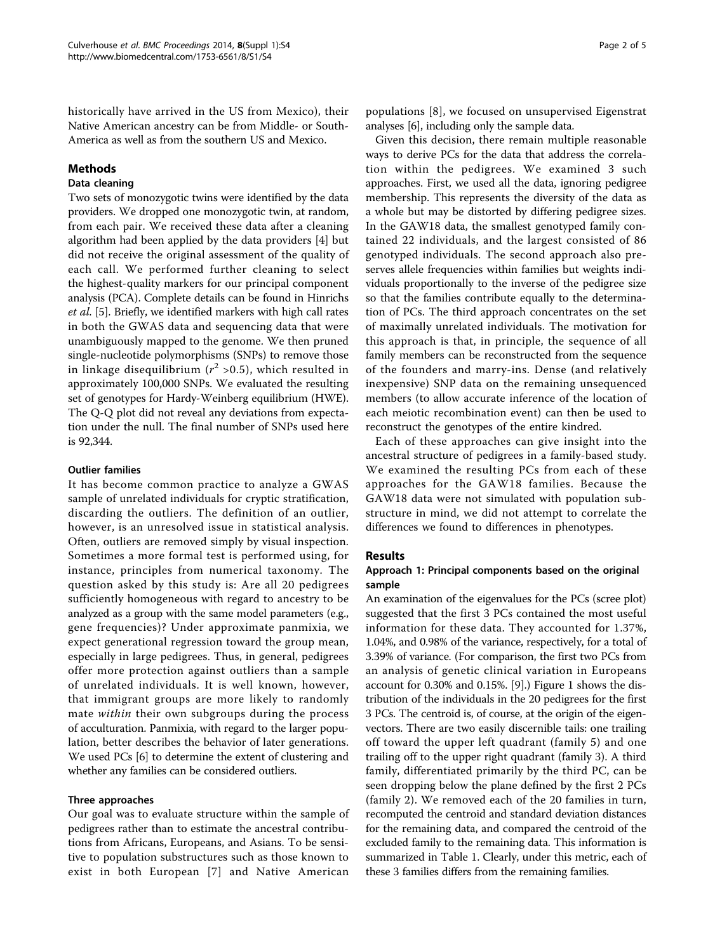historically have arrived in the US from Mexico), their Native American ancestry can be from Middle- or South-America as well as from the southern US and Mexico.

## Methods

## Data cleaning

Two sets of monozygotic twins were identified by the data providers. We dropped one monozygotic twin, at random, from each pair. We received these data after a cleaning algorithm had been applied by the data providers [[4\]](#page-4-0) but did not receive the original assessment of the quality of each call. We performed further cleaning to select the highest-quality markers for our principal component analysis (PCA). Complete details can be found in Hinrichs et al. [\[5](#page-4-0)]. Briefly, we identified markers with high call rates in both the GWAS data and sequencing data that were unambiguously mapped to the genome. We then pruned single-nucleotide polymorphisms (SNPs) to remove those in linkage disequilibrium ( $r^2$  >0.5), which resulted in approximately 100,000 SNPs. We evaluated the resulting set of genotypes for Hardy-Weinberg equilibrium (HWE). The Q-Q plot did not reveal any deviations from expectation under the null. The final number of SNPs used here is 92,344.

### Outlier families

It has become common practice to analyze a GWAS sample of unrelated individuals for cryptic stratification, discarding the outliers. The definition of an outlier, however, is an unresolved issue in statistical analysis. Often, outliers are removed simply by visual inspection. Sometimes a more formal test is performed using, for instance, principles from numerical taxonomy. The question asked by this study is: Are all 20 pedigrees sufficiently homogeneous with regard to ancestry to be analyzed as a group with the same model parameters (e.g., gene frequencies)? Under approximate panmixia, we expect generational regression toward the group mean, especially in large pedigrees. Thus, in general, pedigrees offer more protection against outliers than a sample of unrelated individuals. It is well known, however, that immigrant groups are more likely to randomly mate within their own subgroups during the process of acculturation. Panmixia, with regard to the larger population, better describes the behavior of later generations. We used PCs [\[6\]](#page-4-0) to determine the extent of clustering and whether any families can be considered outliers.

#### Three approaches

Our goal was to evaluate structure within the sample of pedigrees rather than to estimate the ancestral contributions from Africans, Europeans, and Asians. To be sensitive to population substructures such as those known to exist in both European [[7](#page-4-0)] and Native American

populations [[8\]](#page-4-0), we focused on unsupervised Eigenstrat analyses [\[6](#page-4-0)], including only the sample data.

Given this decision, there remain multiple reasonable ways to derive PCs for the data that address the correlation within the pedigrees. We examined 3 such approaches. First, we used all the data, ignoring pedigree membership. This represents the diversity of the data as a whole but may be distorted by differing pedigree sizes. In the GAW18 data, the smallest genotyped family contained 22 individuals, and the largest consisted of 86 genotyped individuals. The second approach also preserves allele frequencies within families but weights individuals proportionally to the inverse of the pedigree size so that the families contribute equally to the determination of PCs. The third approach concentrates on the set of maximally unrelated individuals. The motivation for this approach is that, in principle, the sequence of all family members can be reconstructed from the sequence of the founders and marry-ins. Dense (and relatively inexpensive) SNP data on the remaining unsequenced members (to allow accurate inference of the location of each meiotic recombination event) can then be used to reconstruct the genotypes of the entire kindred.

Each of these approaches can give insight into the ancestral structure of pedigrees in a family-based study. We examined the resulting PCs from each of these approaches for the GAW18 families. Because the GAW18 data were not simulated with population substructure in mind, we did not attempt to correlate the differences we found to differences in phenotypes.

## Results

## Approach 1: Principal components based on the original sample

An examination of the eigenvalues for the PCs (scree plot) suggested that the first 3 PCs contained the most useful information for these data. They accounted for 1.37%, 1.04%, and 0.98% of the variance, respectively, for a total of 3.39% of variance. (For comparison, the first two PCs from an analysis of genetic clinical variation in Europeans account for 0.30% and 0.15%. [[9\]](#page-4-0).) Figure [1](#page-2-0) shows the distribution of the individuals in the 20 pedigrees for the first 3 PCs. The centroid is, of course, at the origin of the eigenvectors. There are two easily discernible tails: one trailing off toward the upper left quadrant (family 5) and one trailing off to the upper right quadrant (family 3). A third family, differentiated primarily by the third PC, can be seen dropping below the plane defined by the first 2 PCs (family 2). We removed each of the 20 families in turn, recomputed the centroid and standard deviation distances for the remaining data, and compared the centroid of the excluded family to the remaining data. This information is summarized in Table [1](#page-2-0). Clearly, under this metric, each of these 3 families differs from the remaining families.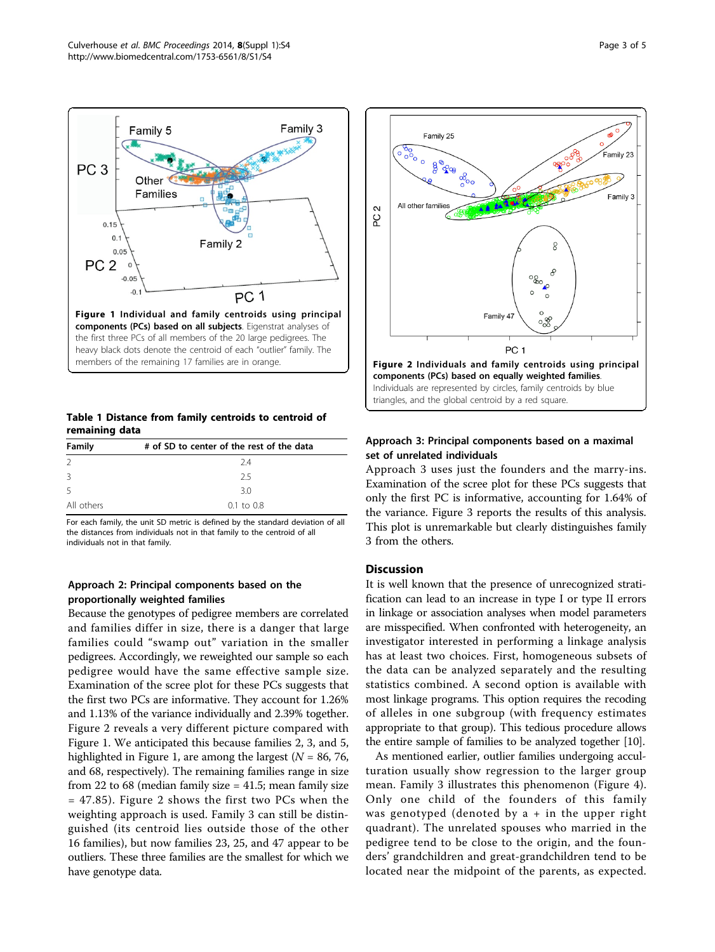<span id="page-2-0"></span>

Table 1 Distance from family centroids to centroid of remaining data

| Family        | # of SD to center of the rest of the data |
|---------------|-------------------------------------------|
| $\mathcal{L}$ | 74                                        |
| 3             | 25                                        |
| .5            | 3.0                                       |
| All others    | $0.1 \text{ to } 0.8$                     |

For each family, the unit SD metric is defined by the standard deviation of all the distances from individuals not in that family to the centroid of all individuals not in that family.

## Approach 2: Principal components based on the proportionally weighted families

Because the genotypes of pedigree members are correlated and families differ in size, there is a danger that large families could "swamp out" variation in the smaller pedigrees. Accordingly, we reweighted our sample so each pedigree would have the same effective sample size. Examination of the scree plot for these PCs suggests that the first two PCs are informative. They account for 1.26% and 1.13% of the variance individually and 2.39% together. Figure 2 reveals a very different picture compared with Figure 1. We anticipated this because families 2, 3, and 5, highlighted in Figure 1, are among the largest ( $N = 86, 76$ , and 68, respectively). The remaining families range in size from 22 to 68 (median family size  $=$  41.5; mean family size = 47.85). Figure 2 shows the first two PCs when the weighting approach is used. Family 3 can still be distinguished (its centroid lies outside those of the other 16 families), but now families 23, 25, and 47 appear to be outliers. These three families are the smallest for which we have genotype data.



## Approach 3: Principal components based on a maximal set of unrelated individuals

Approach 3 uses just the founders and the marry-ins. Examination of the scree plot for these PCs suggests that only the first PC is informative, accounting for 1.64% of the variance. Figure [3](#page-3-0) reports the results of this analysis. This plot is unremarkable but clearly distinguishes family 3 from the others.

### **Discussion**

It is well known that the presence of unrecognized stratification can lead to an increase in type I or type II errors in linkage or association analyses when model parameters are misspecified. When confronted with heterogeneity, an investigator interested in performing a linkage analysis has at least two choices. First, homogeneous subsets of the data can be analyzed separately and the resulting statistics combined. A second option is available with most linkage programs. This option requires the recoding of alleles in one subgroup (with frequency estimates appropriate to that group). This tedious procedure allows the entire sample of families to be analyzed together [[10](#page-4-0)].

As mentioned earlier, outlier families undergoing acculturation usually show regression to the larger group mean. Family 3 illustrates this phenomenon (Figure [4](#page-3-0)). Only one child of the founders of this family was genotyped (denoted by  $a + in$  the upper right quadrant). The unrelated spouses who married in the pedigree tend to be close to the origin, and the founders' grandchildren and great-grandchildren tend to be located near the midpoint of the parents, as expected.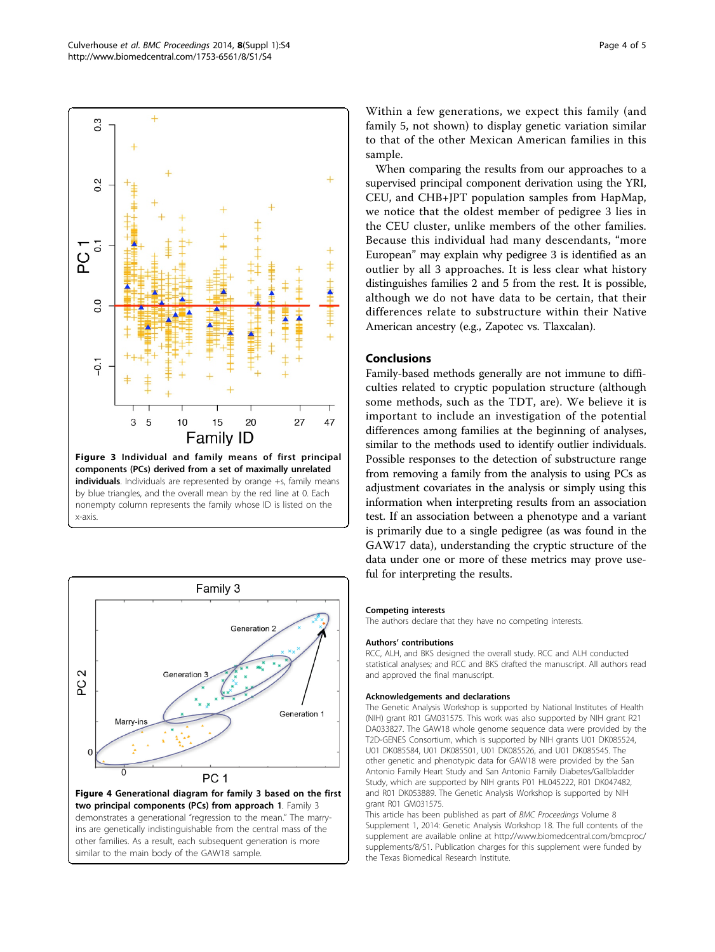<span id="page-3-0"></span>



Within a few generations, we expect this family (and family 5, not shown) to display genetic variation similar to that of the other Mexican American families in this sample.

When comparing the results from our approaches to a supervised principal component derivation using the YRI, CEU, and CHB+JPT population samples from HapMap, we notice that the oldest member of pedigree 3 lies in the CEU cluster, unlike members of the other families. Because this individual had many descendants, "more European" may explain why pedigree 3 is identified as an outlier by all 3 approaches. It is less clear what history distinguishes families 2 and 5 from the rest. It is possible, although we do not have data to be certain, that their differences relate to substructure within their Native American ancestry (e.g., Zapotec vs. Tlaxcalan).

## **Conclusions**

Family-based methods generally are not immune to difficulties related to cryptic population structure (although some methods, such as the TDT, are). We believe it is important to include an investigation of the potential differences among families at the beginning of analyses, similar to the methods used to identify outlier individuals. Possible responses to the detection of substructure range from removing a family from the analysis to using PCs as adjustment covariates in the analysis or simply using this information when interpreting results from an association test. If an association between a phenotype and a variant is primarily due to a single pedigree (as was found in the GAW17 data), understanding the cryptic structure of the data under one or more of these metrics may prove useful for interpreting the results.

#### Competing interests

The authors declare that they have no competing interests.

#### Authors' contributions

RCC, ALH, and BKS designed the overall study. RCC and ALH conducted statistical analyses; and RCC and BKS drafted the manuscript. All authors read and approved the final manuscript.

#### Acknowledgements and declarations

The Genetic Analysis Workshop is supported by National Institutes of Health (NIH) grant R01 GM031575. This work was also supported by NIH grant R21 DA033827. The GAW18 whole genome sequence data were provided by the T2D-GENES Consortium, which is supported by NIH grants U01 DK085524, U01 DK085584, U01 DK085501, U01 DK085526, and U01 DK085545. The other genetic and phenotypic data for GAW18 were provided by the San Antonio Family Heart Study and San Antonio Family Diabetes/Gallbladder Study, which are supported by NIH grants P01 HL045222, R01 DK047482, and R01 DK053889. The Genetic Analysis Workshop is supported by NIH grant R01 GM031575.

This article has been published as part of BMC Proceedings Volume 8 Supplement 1, 2014: Genetic Analysis Workshop 18. The full contents of the supplement are available online at [http://www.biomedcentral.com/bmcproc/](http://www.biomedcentral.com/bmcproc/supplements/8/S1) [supplements/8/S1.](http://www.biomedcentral.com/bmcproc/supplements/8/S1) Publication charges for this supplement were funded by the Texas Biomedical Research Institute.